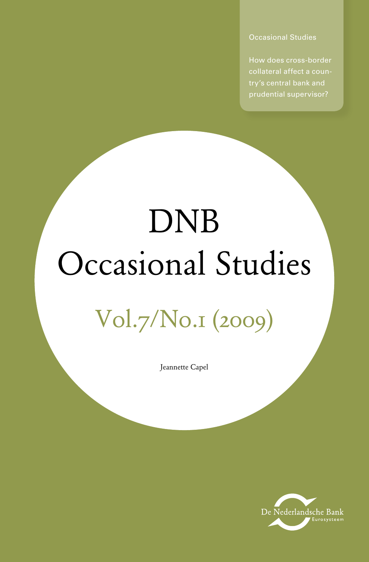Occasional Studies

How does cross-border collateral affect a coun-

# DNB Occasional Studies Vol.7/No.1 (2009)

Jeannette Capel

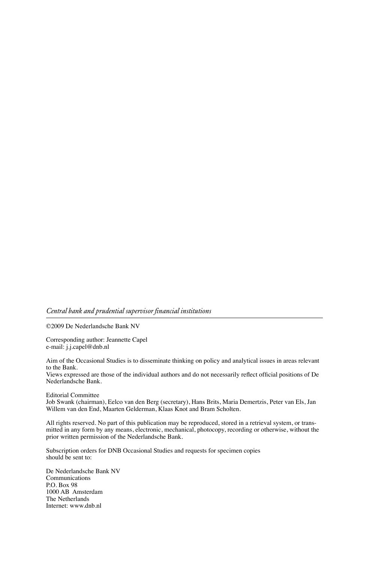#### *Central bank and prudential supervisor financial institutions*

©2009 De Nederlandsche Bank NV

Corresponding author: Jeannette Capel e-mail: j.j.capel@dnb.nl

Aim of the Occasional Studies is to disseminate thinking on policy and analytical issues in areas relevant to the Bank.

Views expressed are those of the individual authors and do not necessarily reflect official positions of De Nederlandsche Bank.

Editorial Committee

Job Swank (chairman), Eelco van den Berg (secretary), Hans Brits, Maria Demertzis, Peter van Els, Jan Willem van den End, Maarten Gelderman, Klaas Knot and Bram Scholten.

All rights reserved. No part of this publication may be reproduced, stored in a retrieval system, or transmitted in any form by any means, electronic, mechanical, photocopy, recording or otherwise, without the prior written permission of the Nederlandsche Bank.

Subscription orders for DNB Occasional Studies and requests for specimen copies should be sent to:

De Nederlandsche Bank NV Communications P.O. Box 98 1000 AB Amsterdam The Netherlands Internet: www.dnb.nl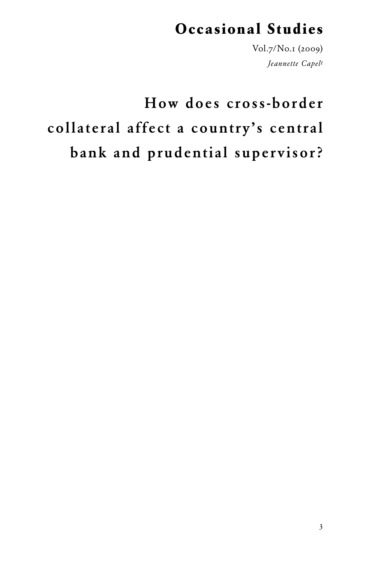### **Occasional Studies**

Vol.7/No.1 (2009) *Jeannette Capel1*

# How does cross-border collateral affect a country's central bank and prudential supervisor?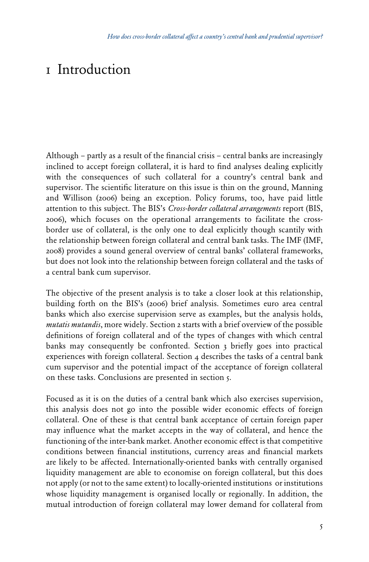### 1 Introduction

Although – partly as a result of the financial crisis – central banks are increasingly inclined to accept foreign collateral, it is hard to find analyses dealing explicitly with the consequences of such collateral for a country's central bank and supervisor. The scientific literature on this issue is thin on the ground, Manning and Willison (2006) being an exception. Policy forums, too, have paid little attention to this subject. The BIS's *Cross-border collateral arrangements* report (BIS, 2006), which focuses on the operational arrangements to facilitate the crossborder use of collateral, is the only one to deal explicitly though scantily with the relationship between foreign collateral and central bank tasks. The IMF (IMF, 2008) provides a sound general overview of central banks' collateral frameworks, but does not look into the relationship between foreign collateral and the tasks of a central bank cum supervisor.

The objective of the present analysis is to take a closer look at this relationship, building forth on the BIS's (2006) brief analysis. Sometimes euro area central banks which also exercise supervision serve as examples, but the analysis holds, *mutatis mutandis*, more widely. Section 2 starts with a brief overview of the possible definitions of foreign collateral and of the types of changes with which central banks may consequently be confronted. Section 3 briefly goes into practical experiences with foreign collateral. Section  $4$  describes the tasks of a central bank cum supervisor and the potential impact of the acceptance of foreign collateral on these tasks. Conclusions are presented in section 5.

Focused as it is on the duties of a central bank which also exercises supervision, this analysis does not go into the possible wider economic effects of foreign collateral. One of these is that central bank acceptance of certain foreign paper may influence what the market accepts in the way of collateral, and hence the functioning of the inter-bank market. Another economic effect is that competitive conditions between financial institutions, currency areas and financial markets are likely to be affected. Internationally-oriented banks with centrally organised liquidity management are able to economise on foreign collateral, but this does not apply (or not to the same extent) to locally-oriented institutions or institutions whose liquidity management is organised locally or regionally. In addition, the mutual introduction of foreign collateral may lower demand for collateral from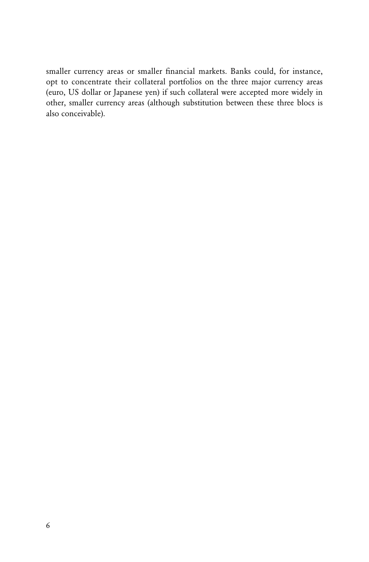smaller currency areas or smaller financial markets. Banks could, for instance, opt to concentrate their collateral portfolios on the three major currency areas (euro, US dollar or Japanese yen) if such collateral were accepted more widely in other, smaller currency areas (although substitution between these three blocs is also conceivable).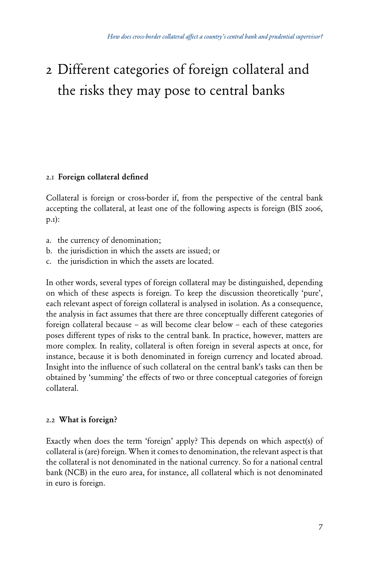## 2 Different categories of foreign collateral and the risks they may pose to central banks

### 2.1Foreign collateral defined

Collateral is foreign or cross-border if, from the perspective of the central bank accepting the collateral, at least one of the following aspects is foreign (BIS 2006, p.1):

- a. the currency of denomination;
- b. the jurisdiction in which the assets are issued; or
- c. the jurisdiction in which the assets are located.

In other words, several types of foreign collateral may be distinguished, depending on which of these aspects is foreign. To keep the discussion theoretically 'pure', each relevant aspect of foreign collateral is analysed in isolation. As a consequence, the analysis in fact assumes that there are three conceptually different categories of foreign collateral because – as will become clear below – each of these categories poses different types of risks to the central bank. In practice, however, matters are more complex. In reality, collateral is often foreign in several aspects at once, for instance, because it is both denominated in foreign currency and located abroad. Insight into the influence of such collateral on the central bank's tasks can then be obtained by 'summing' the effects of two or three conceptual categories of foreign collateral.

### 2.2What is foreign?

Exactly when does the term 'foreign' apply? This depends on which aspect(s) of collateral is (are) foreign. When it comes to denomination, the relevant aspect is that the collateral is not denominated in the national currency. So for a national central bank (NCB) in the euro area, for instance, all collateral which is not denominated in euro is foreign.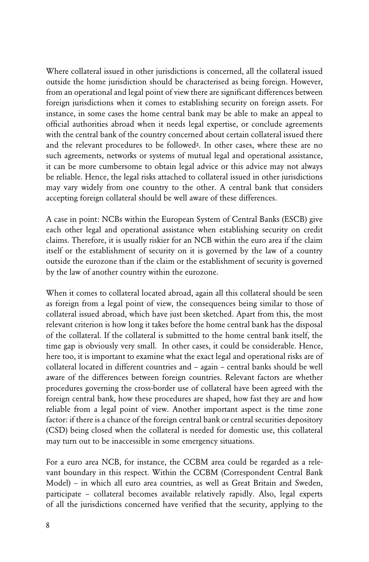Where collateral issued in other jurisdictions is concerned, all the collateral issued outside the home jurisdiction should be characterised as being foreign. However, from an operational and legal point of view there are significant differences between foreign jurisdictions when it comes to establishing security on foreign assets. For instance, in some cases the home central bank may be able to make an appeal to official authorities abroad when it needs legal expertise, or conclude agreements with the central bank of the country concerned about certain collateral issued there and the relevant procedures to be followed2. In other cases, where these are no such agreements, networks or systems of mutual legal and operational assistance, it can be more cumbersome to obtain legal advice or this advice may not always be reliable. Hence, the legal risks attached to collateral issued in other jurisdictions may vary widely from one country to the other. A central bank that considers accepting foreign collateral should be well aware of these differences.

A case in point: NCBs within the European System of Central Banks (ESCB) give each other legal and operational assistance when establishing security on credit claims. Therefore, it is usually riskier for an NCB within the euro area if the claim itself or the establishment of security on it is governed by the law of a country outside the eurozone than if the claim or the establishment of security is governed by the law of another country within the eurozone.

When it comes to collateral located abroad, again all this collateral should be seen as foreign from a legal point of view, the consequences being similar to those of collateral issued abroad, which have just been sketched. Apart from this, the most relevant criterion is how long it takes before the home central bank has the disposal of the collateral. If the collateral is submitted to the home central bank itself, the time gap is obviously very small. In other cases, it could be considerable. Hence, here too, it is important to examine what the exact legal and operational risks are of collateral located in different countries and – again – central banks should be well aware of the differences between foreign countries. Relevant factors are whether procedures governing the cross-border use of collateral have been agreed with the foreign central bank, how these procedures are shaped, how fast they are and how reliable from a legal point of view. Another important aspect is the time zone factor: if there is a chance of the foreign central bank or central securities depository (CSD) being closed when the collateral is needed for domestic use, this collateral may turn out to be inaccessible in some emergency situations.

For a euro area NCB, for instance, the CCBM area could be regarded as a relevant boundary in this respect. Within the CCBM (Correspondent Central Bank Model) – in which all euro area countries, as well as Great Britain and Sweden, participate – collateral becomes available relatively rapidly. Also, legal experts of all the jurisdictions concerned have verified that the security, applying to the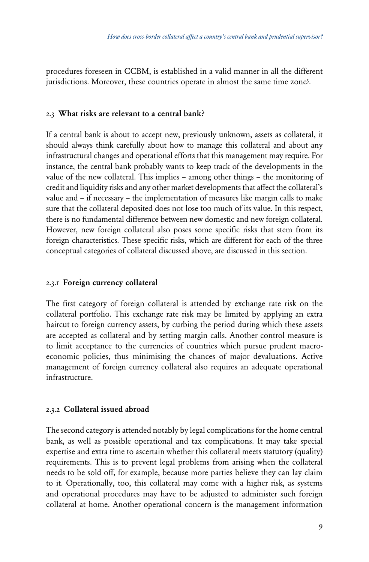procedures foreseen in CCBM, is established in a valid manner in all the different jurisdictions. Moreover, these countries operate in almost the same time zone3 .

### 2.3What risks are relevant to a central bank?

If a central bank is about to accept new, previously unknown, assets as collateral, it should always think carefully about how to manage this collateral and about any infrastructural changes and operational efforts that this management may require. For instance, the central bank probably wants to keep track of the developments in the value of the new collateral. This implies – among other things – the monitoring of credit and liquidity risks and any other market developments that affect the collateral's value and – if necessary – the implementation of measures like margin calls to make sure that the collateral deposited does not lose too much of its value. In this respect, there is no fundamental difference between new domestic and new foreign collateral. However, new foreign collateral also poses some specific risks that stem from its foreign characteristics. These specific risks, which are different for each of the three conceptual categories of collateral discussed above, are discussed in this section.

### 2.3.1 Foreign currency collateral

The first category of foreign collateral is attended by exchange rate risk on the collateral portfolio. This exchange rate risk may be limited by applying an extra haircut to foreign currency assets, by curbing the period during which these assets are accepted as collateral and by setting margin calls. Another control measure is to limit acceptance to the currencies of countries which pursue prudent macroeconomic policies, thus minimising the chances of major devaluations. Active management of foreign currency collateral also requires an adequate operational infrastructure.

### 2.3.2Collateral issued abroad

The second category is attended notably by legal complications for the home central bank, as well as possible operational and tax complications. It may take special expertise and extra time to ascertain whether this collateral meets statutory (quality) requirements. This is to prevent legal problems from arising when the collateral needs to be sold off, for example, because more parties believe they can lay claim to it. Operationally, too, this collateral may come with a higher risk, as systems and operational procedures may have to be adjusted to administer such foreign collateral at home. Another operational concern is the management information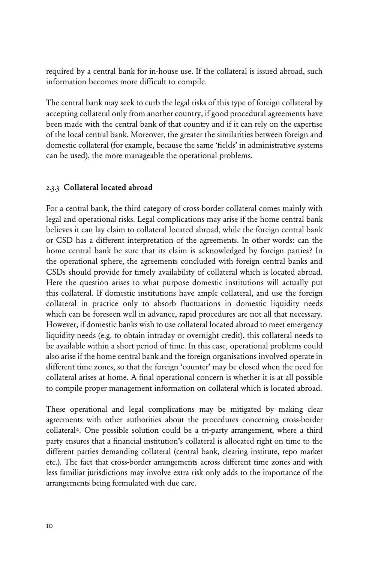required by a central bank for in-house use. If the collateral is issued abroad, such information becomes more difficult to compile.

The central bank may seek to curb the legal risks of this type of foreign collateral by accepting collateral only from another country, if good procedural agreements have been made with the central bank of that country and if it can rely on the expertise of the local central bank. Moreover, the greater the similarities between foreign and domestic collateral (for example, because the same 'fields' in administrative systems can be used), the more manageable the operational problems.

### 2.3.3Collateral located abroad

For a central bank, the third category of cross-border collateral comes mainly with legal and operational risks. Legal complications may arise if the home central bank believes it can lay claim to collateral located abroad, while the foreign central bank or CSD has a different interpretation of the agreements. In other words: can the home central bank be sure that its claim is acknowledged by foreign parties? In the operational sphere, the agreements concluded with foreign central banks and CSDs should provide for timely availability of collateral which is located abroad. Here the question arises to what purpose domestic institutions will actually put this collateral. If domestic institutions have ample collateral, and use the foreign collateral in practice only to absorb fluctuations in domestic liquidity needs which can be foreseen well in advance, rapid procedures are not all that necessary. However, if domestic banks wish to use collateral located abroad to meet emergency liquidity needs (e.g. to obtain intraday or overnight credit), this collateral needs to be available within a short period of time. In this case, operational problems could also arise if the home central bank and the foreign organisations involved operate in different time zones, so that the foreign 'counter' may be closed when the need for collateral arises at home. A final operational concern is whether it is at all possible to compile proper management information on collateral which is located abroad.

These operational and legal complications may be mitigated by making clear agreements with other authorities about the procedures concerning cross-border collateral4. One possible solution could be a tri-party arrangement, where a third party ensures that a financial institution's collateral is allocated right on time to the different parties demanding collateral (central bank, clearing institute, repo market etc.). The fact that cross-border arrangements across different time zones and with less familiar jurisdictions may involve extra risk only adds to the importance of the arrangements being formulated with due care.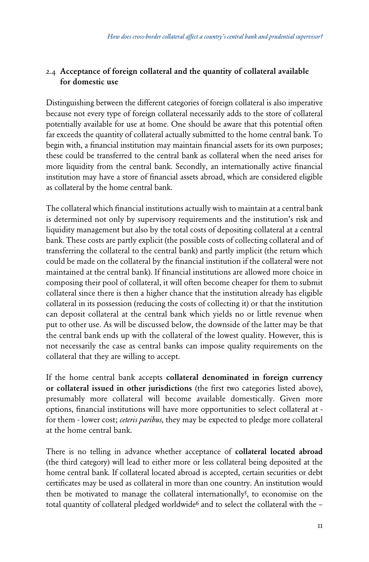### 2.4 Acceptance of foreign collateral and the quantity of collateral available for domestic use

Distinguishing between the different categories of foreign collateral is also imperative because not every type of foreign collateral necessarily adds to the store of collateral potentially available for use at home. One should be aware that this potential often far exceeds the quantity of collateral actually submitted to the home central bank. To begin with, a financial institution may maintain financial assets for its own purposes; these could be transferred to the central bank as collateral when the need arises for more liquidity from the central bank. Secondly, an internationally active financial institution may have a store of financial assets abroad, which are considered eligible as collateral by the home central bank.

The collateral which financial institutions actually wish to maintain at a central bank is determined not only by supervisory requirements and the institution's risk and liquidity management but also by the total costs of depositing collateral at a central bank. These costs are partly explicit (the possible costs of collecting collateral and of transferring the collateral to the central bank) and partly implicit (the return which could be made on the collateral by the financial institution if the collateral were not maintained at the central bank). If financial institutions are allowed more choice in composing their pool of collateral, it will often become cheaper for them to submit collateral since there is then a higher chance that the institution already has eligible collateral in its possession (reducing the costs of collecting it) or that the institution can deposit collateral at the central bank which yields no or little revenue when put to other use. As will be discussed below, the downside of the latter may be that the central bank ends up with the collateral of the lowest quality. However, this is not necessarily the case as central banks can impose quality requirements on the collateral that they are willing to accept.

If the home central bank accepts collateral denominated in foreign currency or collateral issued in other jurisdictions (the first two categories listed above), presumably more collateral will become available domestically. Given more options, financial institutions will have more opportunities to select collateral at for them - lower cost; *ceteris paribus,* they may be expected to pledge more collateral at the home central bank.

There is no telling in advance whether acceptance of collateral located abroad (the third category) will lead to either more or less collateral being deposited at the home central bank. If collateral located abroad is accepted, certain securities or debt certificates may be used as collateral in more than one country. An institution would then be motivated to manage the collateral internationally<sup>5</sup>, to economise on the total quantity of collateral pledged worldwide<sup>6</sup> and to select the collateral with the -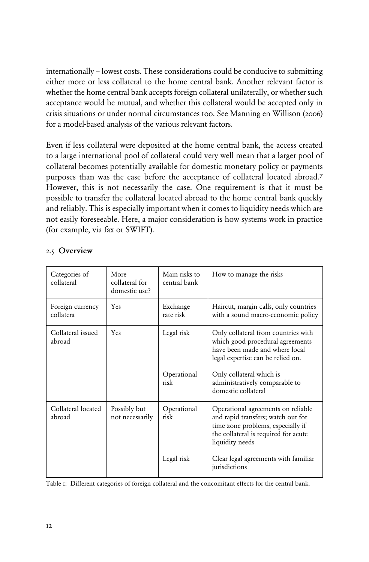internationally – lowest costs. These considerations could be conducive to submitting either more or less collateral to the home central bank. Another relevant factor is whether the home central bank accepts foreign collateral unilaterally, or whether such acceptance would be mutual, and whether this collateral would be accepted only in crisis situations or under normal circumstances too. See Manning en Willison (2006) for a model-based analysis of the various relevant factors.

Even if less collateral were deposited at the home central bank, the access created to a large international pool of collateral could very well mean that a larger pool of collateral becomes potentially available for domestic monetary policy or payments purposes than was the case before the acceptance of collateral located abroad.7 However, this is not necessarily the case. One requirement is that it must be possible to transfer the collateral located abroad to the home central bank quickly and reliably. This is especially important when it comes to liquidity needs which are not easily foreseeable. Here, a major consideration is how systems work in practice (for example, via fax or SWIFT).

| Categories of<br>collateral   | More<br>collateral for<br>domestic use? | Main risks to<br>central bank | How to manage the risks                                                                                                                                                  |
|-------------------------------|-----------------------------------------|-------------------------------|--------------------------------------------------------------------------------------------------------------------------------------------------------------------------|
| Foreign currency<br>collatera | Yes                                     | Exchange<br>rate risk         | Haircut, margin calls, only countries<br>with a sound macro-economic policy                                                                                              |
| Collateral issued<br>abroad   | Yes                                     | Legal risk                    | Only collateral from countries with<br>which good procedural agreements<br>have been made and where local<br>legal expertise can be relied on.                           |
|                               |                                         | Operational<br>risk           | Only collateral which is<br>administratively comparable to<br>domestic collateral                                                                                        |
| Collateral located<br>abroad  | Possibly but<br>not necessarily         | Operational<br>risk           | Operational agreements on reliable<br>and rapid transfers; watch out for<br>time zone problems, especially if<br>the collateral is required for acute<br>liquidity needs |
|                               |                                         | Legal risk                    | Clear legal agreements with familiar<br>jurisdictions                                                                                                                    |

### 2.5Overview

Table 1: Different categories of foreign collateral and the concomitant effects for the central bank.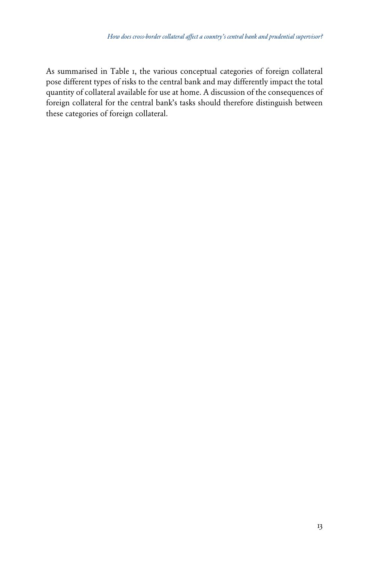As summarised in Table 1, the various conceptual categories of foreign collateral pose different types of risks to the central bank and may differently impact the total quantity of collateral available for use at home. A discussion of the consequences of foreign collateral for the central bank's tasks should therefore distinguish between these categories of foreign collateral.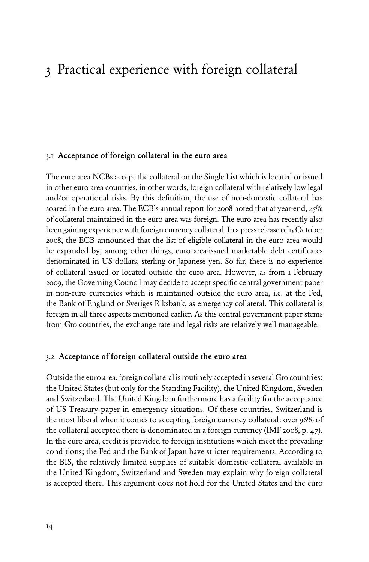### 3 Practical experience with foreign collateral

#### 3.1Acceptance of foreign collateral in the euro area

The euro area NCBs accept the collateral on the Single List which is located or issued in other euro area countries, in other words, foreign collateral with relatively low legal and/or operational risks. By this definition, the use of non-domestic collateral has soared in the euro area. The ECB's annual report for 2008 noted that at year-end, 45% of collateral maintained in the euro area was foreign. The euro area has recently also been gaining experience with foreign currency collateral. In a press release of 15 October 2008, the ECB announced that the list of eligible collateral in the euro area would be expanded by, among other things, euro area-issued marketable debt certificates denominated in US dollars, sterling or Japanese yen. So far, there is no experience of collateral issued or located outside the euro area. However, as from 1 February 2009, the Governing Council may decide to accept specific central government paper in non-euro currencies which is maintained outside the euro area, i.e. at the Fed, the Bank of England or Sveriges Riksbank, as emergency collateral. This collateral is foreign in all three aspects mentioned earlier. As this central government paper stems from G10 countries, the exchange rate and legal risks are relatively well manageable.

### 3.2Acceptance of foreign collateral outside the euro area

Outside the euro area, foreign collateral is routinely accepted in several G10 countries: the United States (but only for the Standing Facility), the United Kingdom, Sweden and Switzerland. The United Kingdom furthermore has a facility for the acceptance of US Treasury paper in emergency situations. Of these countries, Switzerland is the most liberal when it comes to accepting foreign currency collateral: over 96% of the collateral accepted there is denominated in a foreign currency (IMF 2008, p. 47). In the euro area, credit is provided to foreign institutions which meet the prevailing conditions; the Fed and the Bank of Japan have stricter requirements. According to the BIS, the relatively limited supplies of suitable domestic collateral available in the United Kingdom, Switzerland and Sweden may explain why foreign collateral is accepted there. This argument does not hold for the United States and the euro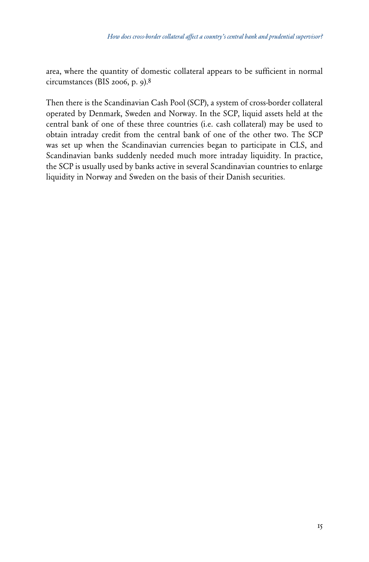area, where the quantity of domestic collateral appears to be sufficient in normal circumstances (BIS 2006, p. 9).8

Then there is the Scandinavian Cash Pool (SCP), a system of cross-border collateral operated by Denmark, Sweden and Norway. In the SCP, liquid assets held at the central bank of one of these three countries (i.e. cash collateral) may be used to obtain intraday credit from the central bank of one of the other two. The SCP was set up when the Scandinavian currencies began to participate in CLS, and Scandinavian banks suddenly needed much more intraday liquidity. In practice, the SCP is usually used by banks active in several Scandinavian countries to enlarge liquidity in Norway and Sweden on the basis of their Danish securities.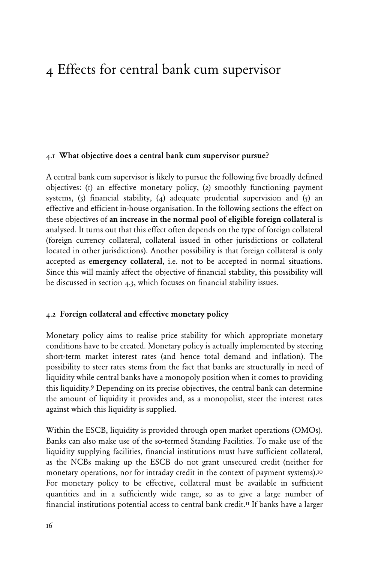### 4 Effects for central bank cum supervisor

### 4.1What objective does a central bank cum supervisor pursue?

A central bank cum supervisor is likely to pursue the following five broadly defined objectives: (1) an effective monetary policy, (2) smoothly functioning payment systems, (3) financial stability, (4) adequate prudential supervision and (5) an effective and efficient in-house organisation. In the following sections the effect on these objectives of an increase in the normal pool of eligible foreign collateral is analysed. It turns out that this effect often depends on the type of foreign collateral (foreign currency collateral, collateral issued in other jurisdictions or collateral located in other jurisdictions). Another possibility is that foreign collateral is only accepted as emergency collateral, i.e. not to be accepted in normal situations. Since this will mainly affect the objective of financial stability, this possibility will be discussed in section 4.3, which focuses on financial stability issues.

#### 4.2Foreign collateral and effective monetary policy

Monetary policy aims to realise price stability for which appropriate monetary conditions have to be created. Monetary policy is actually implemented by steering short-term market interest rates (and hence total demand and inflation). The possibility to steer rates stems from the fact that banks are structurally in need of liquidity while central banks have a monopoly position when it comes to providing this liquidity.9 Depending on its precise objectives, the central bank can determine the amount of liquidity it provides and, as a monopolist, steer the interest rates against which this liquidity is supplied.

Within the ESCB, liquidity is provided through open market operations (OMOs). Banks can also make use of the so-termed Standing Facilities. To make use of the liquidity supplying facilities, financial institutions must have sufficient collateral, as the NCBs making up the ESCB do not grant unsecured credit (neither for monetary operations, nor for intraday credit in the context of payment systems).10 For monetary policy to be effective, collateral must be available in sufficient quantities and in a sufficiently wide range, so as to give a large number of financial institutions potential access to central bank credit.<sup>II</sup> If banks have a larger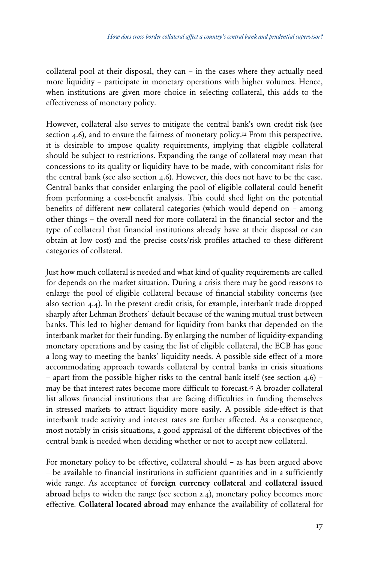collateral pool at their disposal, they can – in the cases where they actually need more liquidity – participate in monetary operations with higher volumes. Hence, when institutions are given more choice in selecting collateral, this adds to the effectiveness of monetary policy.

However, collateral also serves to mitigate the central bank's own credit risk (see section 4.6), and to ensure the fairness of monetary policy.12 From this perspective, it is desirable to impose quality requirements, implying that eligible collateral should be subject to restrictions. Expanding the range of collateral may mean that concessions to its quality or liquidity have to be made, with concomitant risks for the central bank (see also section  $4.6$ ). However, this does not have to be the case. Central banks that consider enlarging the pool of eligible collateral could benefit from performing a cost-benefit analysis. This could shed light on the potential benefits of different new collateral categories (which would depend on – among other things – the overall need for more collateral in the financial sector and the type of collateral that financial institutions already have at their disposal or can obtain at low cost) and the precise costs/risk profiles attached to these different categories of collateral.

Just how much collateral is needed and what kind of quality requirements are called for depends on the market situation. During a crisis there may be good reasons to enlarge the pool of eligible collateral because of financial stability concerns (see also section 4.4). In the present credit crisis, for example, interbank trade dropped sharply after Lehman Brothers´ default because of the waning mutual trust between banks. This led to higher demand for liquidity from banks that depended on the interbank market for their funding. By enlarging the number of liquidity-expanding monetary operations and by easing the list of eligible collateral, the ECB has gone a long way to meeting the banks´ liquidity needs. A possible side effect of a more accommodating approach towards collateral by central banks in crisis situations – apart from the possible higher risks to the central bank itself (see section 4.6) – may be that interest rates become more difficult to forecast.13 A broader collateral list allows financial institutions that are facing difficulties in funding themselves in stressed markets to attract liquidity more easily. A possible side-effect is that interbank trade activity and interest rates are further affected. As a consequence, most notably in crisis situations, a good appraisal of the different objectives of the central bank is needed when deciding whether or not to accept new collateral.

For monetary policy to be effective, collateral should – as has been argued above – be available to financial institutions in sufficient quantities and in a sufficiently wide range. As acceptance of foreign currency collateral and collateral issued abroad helps to widen the range (see section 2.4), monetary policy becomes more effective. Collateral located abroad may enhance the availability of collateral for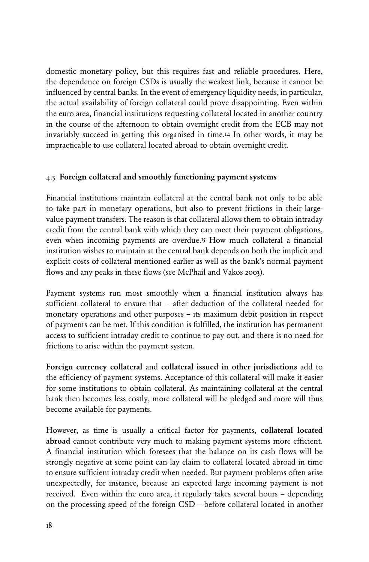domestic monetary policy, but this requires fast and reliable procedures. Here, the dependence on foreign CSDs is usually the weakest link, because it cannot be influenced by central banks. In the event of emergency liquidity needs, in particular, the actual availability of foreign collateral could prove disappointing. Even within the euro area, financial institutions requesting collateral located in another country in the course of the afternoon to obtain overnight credit from the ECB may not invariably succeed in getting this organised in time.14 In other words, it may be impracticable to use collateral located abroad to obtain overnight credit.

### 4.3Foreign collateral and smoothly functioning payment systems

Financial institutions maintain collateral at the central bank not only to be able to take part in monetary operations, but also to prevent frictions in their largevalue payment transfers. The reason is that collateral allows them to obtain intraday credit from the central bank with which they can meet their payment obligations, even when incoming payments are overdue.15 How much collateral a financial institution wishes to maintain at the central bank depends on both the implicit and explicit costs of collateral mentioned earlier as well as the bank's normal payment flows and any peaks in these flows (see McPhail and Vakos 2003).

Payment systems run most smoothly when a financial institution always has sufficient collateral to ensure that – after deduction of the collateral needed for monetary operations and other purposes – its maximum debit position in respect of payments can be met. If this condition is fulfilled, the institution has permanent access to sufficient intraday credit to continue to pay out, and there is no need for frictions to arise within the payment system.

Foreign currency collateral and collateral issued in other jurisdictions add to the efficiency of payment systems. Acceptance of this collateral will make it easier for some institutions to obtain collateral. As maintaining collateral at the central bank then becomes less costly, more collateral will be pledged and more will thus become available for payments.

However, as time is usually a critical factor for payments, collateral located abroad cannot contribute very much to making payment systems more efficient. A financial institution which foresees that the balance on its cash flows will be strongly negative at some point can lay claim to collateral located abroad in time to ensure sufficient intraday credit when needed. But payment problems often arise unexpectedly, for instance, because an expected large incoming payment is not received. Even within the euro area, it regularly takes several hours – depending on the processing speed of the foreign CSD – before collateral located in another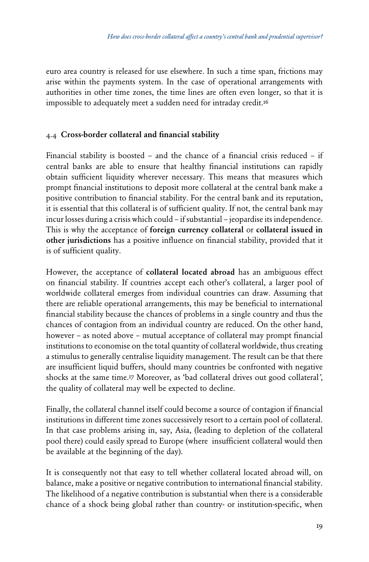euro area country is released for use elsewhere. In such a time span, frictions may arise within the payments system. In the case of operational arrangements with authorities in other time zones, the time lines are often even longer, so that it is impossible to adequately meet a sudden need for intraday credit.<sup>16</sup>

### 4.4 Cross-border collateral and financial stability

Financial stability is boosted – and the chance of a financial crisis reduced – if central banks are able to ensure that healthy financial institutions can rapidly obtain sufficient liquidity wherever necessary. This means that measures which prompt financial institutions to deposit more collateral at the central bank make a positive contribution to financial stability. For the central bank and its reputation, it is essential that this collateral is of sufficient quality. If not, the central bank may incur losses during a crisis which could – if substantial – jeopardise its independence. This is why the acceptance of foreign currency collateral or collateral issued in other jurisdictions has a positive influence on financial stability, provided that it is of sufficient quality.

However, the acceptance of collateral located abroad has an ambiguous effect on financial stability. If countries accept each other's collateral, a larger pool of worldwide collateral emerges from individual countries can draw. Assuming that there are reliable operational arrangements, this may be beneficial to international financial stability because the chances of problems in a single country and thus the chances of contagion from an individual country are reduced. On the other hand, however – as noted above – mutual acceptance of collateral may prompt financial institutions to economise on the total quantity of collateral worldwide, thus creating a stimulus to generally centralise liquidity management. The result can be that there are insufficient liquid buffers, should many countries be confronted with negative shocks at the same time.17 Moreover, as 'bad collateral drives out good collateral*'*, the quality of collateral may well be expected to decline.

Finally, the collateral channel itself could become a source of contagion if financial institutions in different time zones successively resort to a certain pool of collateral. In that case problems arising in, say, Asia, (leading to depletion of the collateral pool there) could easily spread to Europe (where insufficient collateral would then be available at the beginning of the day).

It is consequently not that easy to tell whether collateral located abroad will, on balance, make a positive or negative contribution to international financial stability. The likelihood of a negative contribution is substantial when there is a considerable chance of a shock being global rather than country- or institution-specific, when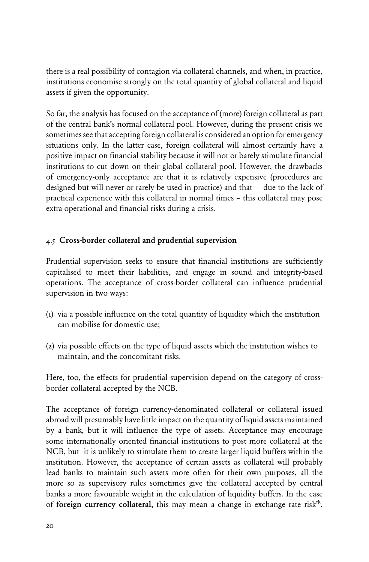there is a real possibility of contagion via collateral channels, and when, in practice, institutions economise strongly on the total quantity of global collateral and liquid assets if given the opportunity.

So far, the analysis has focused on the acceptance of (more) foreign collateral as part of the central bank's normal collateral pool. However, during the present crisis we sometimes see that accepting foreign collateral is considered an option for emergency situations only. In the latter case, foreign collateral will almost certainly have a positive impact on financial stability because it will not or barely stimulate financial institutions to cut down on their global collateral pool. However, the drawbacks of emergency-only acceptance are that it is relatively expensive (procedures are designed but will never or rarely be used in practice) and that – due to the lack of practical experience with this collateral in normal times – this collateral may pose extra operational and financial risks during a crisis.

### 4.5Cross-border collateral and prudential supervision

Prudential supervision seeks to ensure that financial institutions are sufficiently capitalised to meet their liabilities, and engage in sound and integrity-based operations. The acceptance of cross-border collateral can influence prudential supervision in two ways:

- (1) via a possible influence on the total quantity of liquidity which the institution can mobilise for domestic use;
- (2) via possible effects on the type of liquid assets which the institution wishes to maintain, and the concomitant risks.

Here, too, the effects for prudential supervision depend on the category of crossborder collateral accepted by the NCB.

The acceptance of foreign currency-denominated collateral or collateral issued abroad will presumably have little impact on the quantity of liquid assets maintained by a bank, but it will influence the type of assets. Acceptance may encourage some internationally oriented financial institutions to post more collateral at the NCB, but it is unlikely to stimulate them to create larger liquid buffers within the institution. However, the acceptance of certain assets as collateral will probably lead banks to maintain such assets more often for their own purposes, all the more so as supervisory rules sometimes give the collateral accepted by central banks a more favourable weight in the calculation of liquidity buffers. In the case of foreign currency collateral, this may mean a change in exchange rate risk<sup>18</sup>,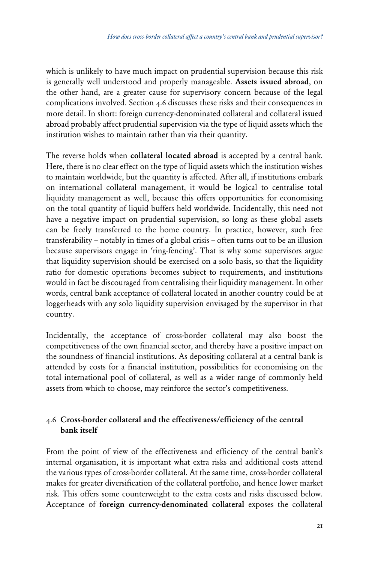which is unlikely to have much impact on prudential supervision because this risk is generally well understood and properly manageable. Assets issued abroad, on the other hand, are a greater cause for supervisory concern because of the legal complications involved. Section 4.6 discusses these risks and their consequences in more detail. In short: foreign currency-denominated collateral and collateral issued abroad probably affect prudential supervision via the type of liquid assets which the institution wishes to maintain rather than via their quantity.

The reverse holds when collateral located abroad is accepted by a central bank. Here, there is no clear effect on the type of liquid assets which the institution wishes to maintain worldwide, but the quantity is affected. After all, if institutions embark on international collateral management, it would be logical to centralise total liquidity management as well, because this offers opportunities for economising on the total quantity of liquid buffers held worldwide. Incidentally, this need not have a negative impact on prudential supervision, so long as these global assets can be freely transferred to the home country. In practice, however, such free transferability – notably in times of a global crisis – often turns out to be an illusion because supervisors engage in 'ring-fencing'. That is why some supervisors argue that liquidity supervision should be exercised on a solo basis, so that the liquidity ratio for domestic operations becomes subject to requirements, and institutions would in fact be discouraged from centralising their liquidity management. In other words, central bank acceptance of collateral located in another country could be at loggerheads with any solo liquidity supervision envisaged by the supervisor in that country.

Incidentally, the acceptance of cross-border collateral may also boost the competitiveness of the own financial sector, and thereby have a positive impact on the soundness of financial institutions. As depositing collateral at a central bank is attended by costs for a financial institution, possibilities for economising on the total international pool of collateral, as well as a wider range of commonly held assets from which to choose, may reinforce the sector's competitiveness.

### 4.6Cross-border collateral and the effectiveness/efficiency of the central bank itself

From the point of view of the effectiveness and efficiency of the central bank's internal organisation, it is important what extra risks and additional costs attend the various types of cross-border collateral. At the same time, cross-border collateral makes for greater diversification of the collateral portfolio, and hence lower market risk. This offers some counterweight to the extra costs and risks discussed below. Acceptance of foreign currency-denominated collateral exposes the collateral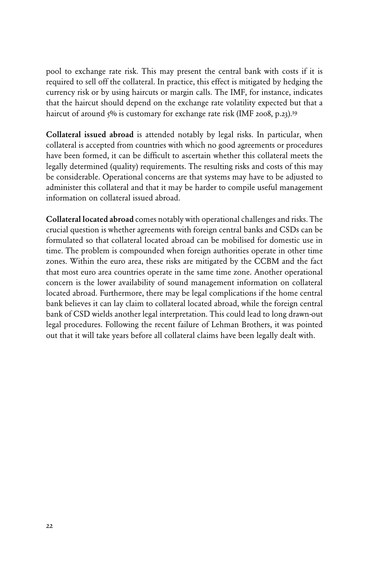pool to exchange rate risk. This may present the central bank with costs if it is required to sell off the collateral. In practice, this effect is mitigated by hedging the currency risk or by using haircuts or margin calls. The IMF, for instance, indicates that the haircut should depend on the exchange rate volatility expected but that a haircut of around 5% is customary for exchange rate risk (IMF 2008, p.23).<sup>19</sup>

Collateral issued abroad is attended notably by legal risks. In particular, when collateral is accepted from countries with which no good agreements or procedures have been formed, it can be difficult to ascertain whether this collateral meets the legally determined (quality) requirements. The resulting risks and costs of this may be considerable. Operational concerns are that systems may have to be adjusted to administer this collateral and that it may be harder to compile useful management information on collateral issued abroad.

Collateral located abroad comes notably with operational challenges and risks. The crucial question is whether agreements with foreign central banks and CSDs can be formulated so that collateral located abroad can be mobilised for domestic use in time. The problem is compounded when foreign authorities operate in other time zones. Within the euro area, these risks are mitigated by the CCBM and the fact that most euro area countries operate in the same time zone. Another operational concern is the lower availability of sound management information on collateral located abroad. Furthermore, there may be legal complications if the home central bank believes it can lay claim to collateral located abroad, while the foreign central bank of CSD wields another legal interpretation. This could lead to long drawn-out legal procedures. Following the recent failure of Lehman Brothers, it was pointed out that it will take years before all collateral claims have been legally dealt with.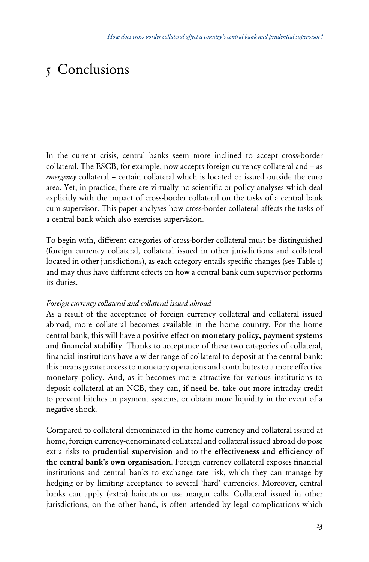### 5 Conclusions

In the current crisis, central banks seem more inclined to accept cross-border collateral. The ESCB, for example, now accepts foreign currency collateral and – as *emergency* collateral – certain collateral which is located or issued outside the euro area. Yet, in practice, there are virtually no scientific or policy analyses which deal explicitly with the impact of cross-border collateral on the tasks of a central bank cum supervisor. This paper analyses how cross-border collateral affects the tasks of a central bank which also exercises supervision.

To begin with, different categories of cross-border collateral must be distinguished (foreign currency collateral, collateral issued in other jurisdictions and collateral located in other jurisdictions), as each category entails specific changes (see Table 1) and may thus have different effects on how a central bank cum supervisor performs its duties.

### *Foreign currency collateral and collateral issued abroad*

As a result of the acceptance of foreign currency collateral and collateral issued abroad, more collateral becomes available in the home country. For the home central bank, this will have a positive effect on monetary policy, payment systems and financial stability. Thanks to acceptance of these two categories of collateral, financial institutions have a wider range of collateral to deposit at the central bank; this means greater access to monetary operations and contributes to a more effective monetary policy. And, as it becomes more attractive for various institutions to deposit collateral at an NCB, they can, if need be, take out more intraday credit to prevent hitches in payment systems, or obtain more liquidity in the event of a negative shock.

Compared to collateral denominated in the home currency and collateral issued at home, foreign currency-denominated collateral and collateral issued abroad do pose extra risks to prudential supervision and to the effectiveness and efficiency of the central bank's own organisation. Foreign currency collateral exposes financial institutions and central banks to exchange rate risk, which they can manage by hedging or by limiting acceptance to several 'hard' currencies. Moreover, central banks can apply (extra) haircuts or use margin calls. Collateral issued in other jurisdictions, on the other hand, is often attended by legal complications which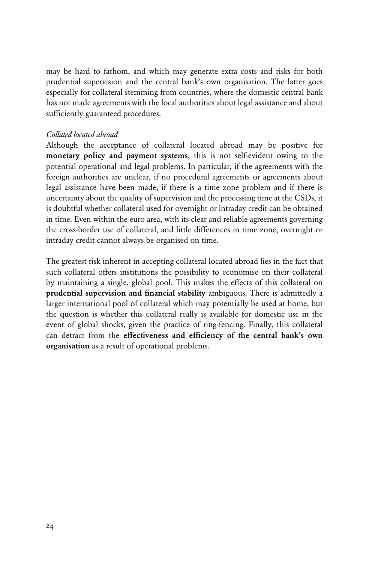may be hard to fathom, and which may generate extra costs and risks for both prudential supervision and the central bank's own organisation. The latter goes especially for collateral stemming from countries, where the domestic central bank has not made agreements with the local authorities about legal assistance and about sufficiently guaranteed procedures.

#### *Collated located abroad*

Although the acceptance of collateral located abroad may be positive for monetary policy and payment systems, this is not self-evident owing to the potential operational and legal problems. In particular, if the agreements with the foreign authorities are unclear, if no procedural agreements or agreements about legal assistance have been made, if there is a time zone problem and if there is uncertainty about the quality of supervision and the processing time at the CSDs, it is doubtful whether collateral used for overnight or intraday credit can be obtained in time. Even within the euro area, with its clear and reliable agreements governing the cross-border use of collateral, and little differences in time zone, overnight or intraday credit cannot always be organised on time.

The greatest risk inherent in accepting collateral located abroad lies in the fact that such collateral offers institutions the possibility to economise on their collateral by maintaining a single, global pool. This makes the effects of this collateral on prudential supervision and financial stability ambiguous. There is admittedly a larger international pool of collateral which may potentially be used at home, but the question is whether this collateral really is available for domestic use in the event of global shocks, given the practice of ring-fencing. Finally, this collateral can detract from the effectiveness and efficiency of the central bank's own organisation as a result of operational problems.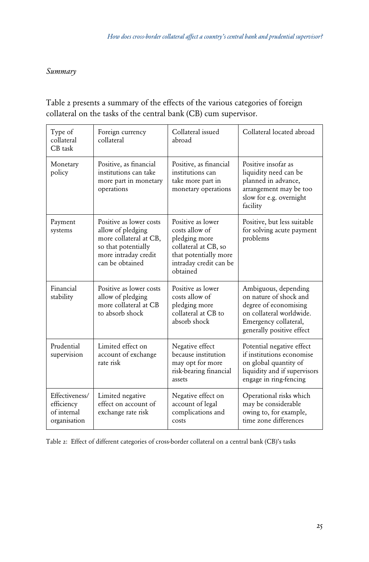### *Summary*

### Table 2 presents a summary of the effects of the various categories of foreign collateral on the tasks of the central bank (CB) cum supervisor.

| Type of<br>collateral<br>CB task                            | Foreign currency<br>collateral                                                                                                           | Collateral issued<br>abroad                                                                                                                 | Collateral located abroad                                                                                                                                 |
|-------------------------------------------------------------|------------------------------------------------------------------------------------------------------------------------------------------|---------------------------------------------------------------------------------------------------------------------------------------------|-----------------------------------------------------------------------------------------------------------------------------------------------------------|
| Monetary<br>policy                                          | Positive, as financial<br>institutions can take<br>more part in monetary<br>operations                                                   | Positive, as financial<br>institutions can<br>take more part in<br>monetary operations                                                      | Positive insofar as<br>liquidity need can be<br>planned in advance,<br>arrangement may be too<br>slow for e.g. overnight<br>facility                      |
| Payment<br>systems                                          | Positive as lower costs<br>allow of pledging<br>more collateral at CB,<br>so that potentially<br>more intraday credit<br>can be obtained | Positive as lower<br>costs allow of<br>pledging more<br>collateral at CB, so<br>that potentially more<br>intraday credit can be<br>obtained | Positive, but less suitable<br>for solving acute payment<br>problems                                                                                      |
| Financial<br>stability                                      | Positive as lower costs<br>allow of pledging<br>more collateral at CB<br>to absorb shock                                                 | Positive as lower<br>costs allow of<br>pledging more<br>collateral at CB to<br>absorb shock                                                 | Ambiguous, depending<br>on nature of shock and<br>degree of economising<br>on collateral worldwide.<br>Emergency collateral,<br>generally positive effect |
| Prudential<br>supervision                                   | Limited effect on<br>account of exchange<br>rate risk                                                                                    | Negative effect<br>because institution<br>may opt for more<br>risk-bearing financial<br>assets                                              | Potential negative effect<br>if institutions economise<br>on global quantity of<br>liquidity and if supervisors<br>engage in ring-fencing                 |
| Effectiveness/<br>efficiency<br>of internal<br>organisation | Limited negative<br>effect on account of<br>exchange rate risk                                                                           | Negative effect on<br>account of legal<br>complications and<br>costs                                                                        | Operational risks which<br>may be considerable<br>owing to, for example,<br>time zone differences                                                         |

Table 2: Effect of different categories of cross-border collateral on a central bank (CB)'s tasks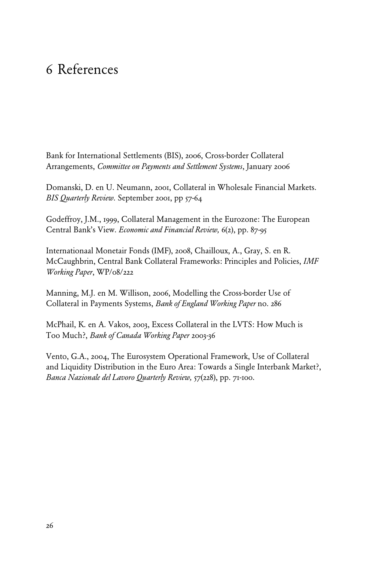### 6 References

Bank for International Settlements (BIS), 2006, Cross-border Collateral Arrangements, *Committee on Payments and Settlement Systems*, January 2006

Domanski, D. en U. Neumann, 2001, Collateral in Wholesale Financial Markets. *BIS Quarterly Review*. September 2001, pp 57-64

Godeffroy, J.M., 1999, Collateral Management in the Eurozone: The European Central Bank's View. *Economic and Financial Review,* 6(2), pp. 87-95

Internationaal Monetair Fonds (IMF), 2008, Chailloux, A., Gray, S. en R. McCaughbrin, Central Bank Collateral Frameworks: Principles and Policies, *IMF Working Paper*, WP/08/222

Manning, M.J. en M. Willison, 2006, Modelling the Cross-border Use of Collateral in Payments Systems, *Bank of England Working Paper* no. 286

McPhail, K. en A. Vakos, 2003, Excess Collateral in the LVTS: How Much is Too Much?, *Bank of Canada Working Paper* 2003-36

Vento, G.A., 2004, The Eurosystem Operational Framework, Use of Collateral and Liquidity Distribution in the Euro Area: Towards a Single Interbank Market?, *Banca Nazionale del Lavoro Quarterly Review,* 57(228), pp. 71-100.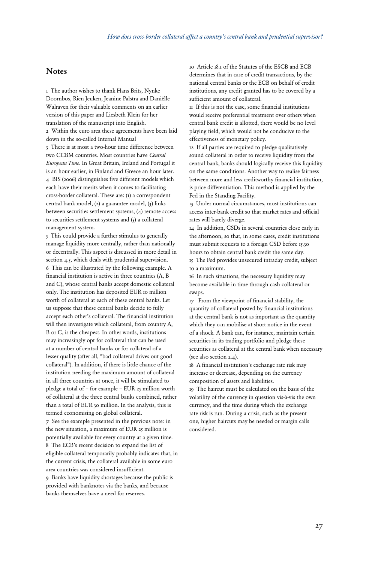#### Notes

1 The author wishes to thank Hans Brits, Nynke Doornbos, Rien Jeuken, Jeanine Palstra and Daniëlle Walraven for their valuable comments on an earlier version of this paper and Liesbeth Klein for her translation of the manuscript into English.

2 Within the euro area these agreements have been laid down in the so-called Internal Manual

3 There is at most a two-hour time difference between two CCBM countries. Most countries have *Central European Time*. In Great Britain, Ireland and Portugal it is an hour earlier, in Finland and Greece an hour later. 4 BIS (2006) distinguishes five different models which each have their merits when it comes to facilitating cross-border collateral. These are: (1) a correspondent central bank model, (2) a guarantee model, (3) links between securities settlement systems, (4) remote access to securities settlement systems and  $(5)$  a collateral management system.

5 This could provide a further stimulus to generally manage liquidity more centrally, rather than nationally or decentrally. This aspect is discussed in more detail in section 4.5, which deals with prudential supervision. 6 This can be illustrated by the following example. A financial institution is active in three countries (A, B and C), whose central banks accept domestic collateral only. The institution has deposited EUR 10 million worth of collateral at each of these central banks. Let us suppose that these central banks decide to fully accept each other's collateral. The financial institution will then investigate which collateral, from country A, B or C, is the cheapest. In other words, institutions may increasingly opt for collateral that can be used at a number of central banks or for collateral of a lesser quality (after all, "bad collateral drives out good collateral"). In addition, if there is little chance of the institution needing the maximum amount of collateral in all three countries at once, it will be stimulated to pledge a total of – for example – EUR 25 million worth of collateral at the three central banks combined, rather than a total of EUR 30 million. In the analysis, this is termed economising on global collateral.

7 See the example presented in the previous note: in the new situation, a maximum of EUR 25 million is potentially available for every country at a given time. 8 The ECB's recent decision to expand the list of eligible collateral temporarily probably indicates that, in the current crisis, the collateral available in some euro area countries was considered insufficient. 9 Banks have liquidity shortages because the public is provided with banknotes via the banks, and because banks themselves have a need for reserves.

10 Article 18.1 of the Statutes of the ESCB and ECB determines that in case of credit transactions, by the national central banks or the ECB on behalf of credit institutions, any credit granted has to be covered by a sufficient amount of collateral.

11 If this is not the case, some financial institutions would receive preferential treatment over others when central bank credit is allotted, there would be no level playing field, which would not be conducive to the effectiveness of monetary policy.

12 If all parties are required to pledge qualitatively sound collateral in order to receive liquidity from the central bank, banks should logically receive this liquidity on the same conditions. Another way to realise fairness between more and less creditworthy financial institution, is price differentiation. This method is applied by the Fed in the Standing Facility.

13 Under normal circumstances, most institutions can access inter-bank credit so that market rates and official rates will barely diverge.

14 In addition, CSDs in several countries close early in the afternoon, so that, in some cases, credit institutions must submit requests to a foreign CSD before 15.30 hours to obtain central bank credit the same day.

15 The Fed provides unsecured intraday credit, subject to a maximum.

16 In such situations, the necessary liquidity may become available in time through cash collateral or swaps.

17 From the viewpoint of financial stability, the quantity of collateral posted by financial institutions at the central bank is not as important as the quantity which they can mobilise at short notice in the event of a shock. A bank can, for instance, maintain certain securities in its trading portfolio and pledge these securities as collateral at the central bank when necessary (see also section 2.4).

18 A financial institution's exchange rate risk may increase or decrease, depending on the currency composition of assets and liabilities.

19 The haircut must be calculated on the basis of the volatility of the currency in question vis-à-vis the own currency, and the time during which the exchange rate risk is run. During a crisis, such as the present one, higher haircuts may be needed or margin calls considered.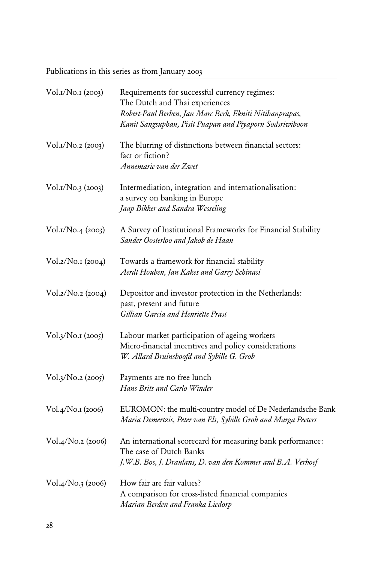Publications in this series as from January 2003

| Vol.1/No.1 (2003) | Requirements for successful currency regimes:<br>The Dutch and Thai experiences<br>Robert-Paul Berben, Jan Marc Berk, Ekniti Nitihanprapas,<br>Kanit Sangsuphan, Pisit Puapan and Piyaporn Sodsriwiboon |  |  |
|-------------------|---------------------------------------------------------------------------------------------------------------------------------------------------------------------------------------------------------|--|--|
| Vol.1/No.2 (2003) | The blurring of distinctions between financial sectors:<br>fact or fiction?<br>Annemarie van der Zwet                                                                                                   |  |  |
| Vol.1/No.3 (2003) | Intermediation, integration and internationalisation:<br>a survey on banking in Europe<br>Jaap Bikker and Sandra Wesseling                                                                              |  |  |
| Vol.1/No.4 (2003) | A Survey of Institutional Frameworks for Financial Stability<br>Sander Oosterloo and Jakob de Haan                                                                                                      |  |  |
| Vol.2/No.1 (2004) | Towards a framework for financial stability<br>Aerdt Houben, Jan Kakes and Garry Schinasi                                                                                                               |  |  |
| Vol.2/No.2 (2004) | Depositor and investor protection in the Netherlands:<br>past, present and future<br>Gillian Garcia and Henriëtte Prast                                                                                 |  |  |
| Vol.3/No.1 (2005) | Labour market participation of ageing workers<br>Micro-financial incentives and policy considerations<br>W. Allard Bruinshoofd and Sybille G. Grob                                                      |  |  |
| Vol.3/No.2 (2005) | Payments are no free lunch<br>Hans Brits and Carlo Winder                                                                                                                                               |  |  |
| Vol.4/No.1 (2006) | EUROMON: the multi-country model of De Nederlandsche Bank<br>Maria Demertzis, Peter van Els, Sybille Grob and Marga Peeters                                                                             |  |  |
| Vol.4/No.2 (2006) | An international scorecard for measuring bank performance:<br>The case of Dutch Banks<br>J.W.B. Bos, J. Draulans, D. van den Kommer and B.A. Verhoef                                                    |  |  |
| Vol.4/No.3 (2006) | How fair are fair values?<br>A comparison for cross-listed financial companies<br>Marian Berden and Franka Liedorp                                                                                      |  |  |